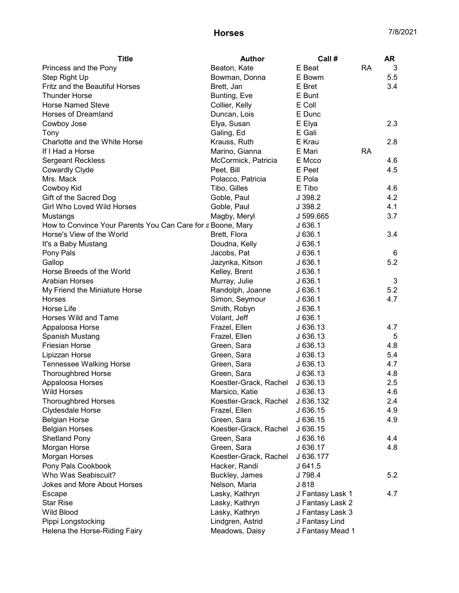## Horses 7/8/2021

| <b>Title</b>                                                | <b>Author</b>          | Call #           |           | <b>AR</b> |
|-------------------------------------------------------------|------------------------|------------------|-----------|-----------|
| Princess and the Pony                                       | Beaton, Kate           | E Beat           | RA        | 3         |
| Step Right Up                                               | Bowman, Donna          | E Bowm           |           | 5.5       |
| Fritz and the Beautiful Horses                              | Brett, Jan             | E Bret           |           | 3.4       |
| <b>Thunder Horse</b>                                        | Bunting, Eve           | E Bunt           |           |           |
| <b>Horse Named Steve</b>                                    | Collier, Kelly         | E Coll           |           |           |
| Horses of Dreamland                                         | Duncan, Lois           | E Dunc           |           |           |
| Cowboy Jose                                                 | Elya, Susan            | E Elya           |           | 2.3       |
| Tony                                                        | Galing, Ed             | E Gali           |           |           |
| Charlotte and the White Horse                               | Krauss, Ruth           | E Krau           |           | 2.8       |
| If I Had a Horse                                            | Marino, Gianna         | E Mari           | <b>RA</b> |           |
| <b>Sergeant Reckless</b>                                    | McCormick, Patricia    | E Mcco           |           | 4.6       |
| <b>Cowardly Clyde</b>                                       | Peet, Bill             | E Peet           |           | 4.5       |
| Mrs. Mack                                                   | Polacco, Patricia      | E Pola           |           |           |
| Cowboy Kid                                                  | Tibo, Gilles           | E Tibo           |           | 4.6       |
| Gift of the Sacred Dog                                      | Goble, Paul            | J 398.2          |           | 4.2       |
| <b>Girl Who Loved Wild Horses</b>                           | Goble, Paul            | J 398.2          |           | 4.1       |
| Mustangs                                                    | Magby, Meryl           | J 599.665        |           | 3.7       |
| How to Convince Your Parents You Can Care for a Boone, Mary |                        | J636.1           |           |           |
| Horse's View of the World                                   | Brett, Flora           | J636.1           |           | 3.4       |
| It's a Baby Mustang                                         | Doudna, Kelly          | J 636.1          |           |           |
| Pony Pals                                                   | Jacobs, Pat            | J636.1           |           | 6         |
| Gallop                                                      | Jazynka, Kitson        | J636.1           |           | 5.2       |
| Horse Breeds of the World                                   | Kelley, Brent          | J636.1           |           |           |
| <b>Arabian Horses</b>                                       | Murray, Julie          | J636.1           |           | 3         |
| My Friend the Miniature Horse                               | Randolph, Joanne       | J636.1           |           | 5.2       |
| Horses                                                      | Simon, Seymour         | J636.1           |           | 4.7       |
| Horse Life                                                  | Smith, Robyn           | J636.1           |           |           |
| Horses Wild and Tame                                        | Volant, Jeff           | J636.1           |           |           |
| Appaloosa Horse                                             | Frazel, Ellen          | J 636.13         |           | 4.7       |
| Spanish Mustang                                             | Frazel, Ellen          | J636.13          |           | 5         |
| <b>Friesian Horse</b>                                       | Green, Sara            | J636.13          |           | 4.8       |
| Lipizzan Horse                                              | Green, Sara            | J 636.13         |           | 5.4       |
| <b>Tennessee Walking Horse</b>                              | Green, Sara            | J 636.13         |           | 4.7       |
| <b>Thoroughbred Horse</b>                                   | Green, Sara            | J 636.13         |           | 4.8       |
| Appaloosa Horses                                            | Koestler-Grack, Rachel | J 636.13         |           | 2.5       |
| <b>Wild Horses</b>                                          | Marsico, Katie         | J 636.13         |           | 4.6       |
| <b>Thoroughbred Horses</b>                                  | Koestler-Grack, Rachel | J 636.132        |           | 2.4       |
| Clydesdale Horse                                            | Frazel, Ellen          | J 636.15         |           | 4.9       |
| <b>Belgian Horse</b>                                        | Green, Sara            | J 636.15         |           | 4.9       |
| <b>Belgian Horses</b>                                       | Koestler-Grack, Rachel | J 636.15         |           |           |
| <b>Shetland Pony</b>                                        | Green, Sara            | J 636.16         |           | 4.4       |
| Morgan Horse                                                | Green, Sara            | J 636.17         |           | 4.8       |
| Morgan Horses                                               | Koestler-Grack, Rachel | J 636.177        |           |           |
| Pony Pals Cookbook                                          | Hacker, Randi          | J641.5           |           |           |
| Who Was Seabiscuit?                                         | Buckley, James         | J 798.4          |           | 5.2       |
| <b>Jokes and More About Horses</b>                          | Nelson, Maria          | J 818            |           |           |
| Escape                                                      | Lasky, Kathryn         | J Fantasy Lask 1 |           | 4.7       |
| <b>Star Rise</b>                                            | Lasky, Kathryn         | J Fantasy Lask 2 |           |           |
| <b>Wild Blood</b>                                           | Lasky, Kathryn         | J Fantasy Lask 3 |           |           |
| Pippi Longstocking                                          | Lindgren, Astrid       | J Fantasy Lind   |           |           |
| Helena the Horse-Riding Fairy                               | Meadows, Daisy         | J Fantasy Mead 1 |           |           |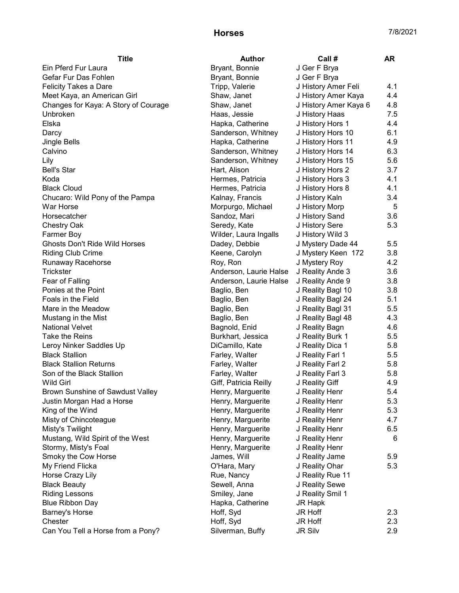## Horses 7/8/2021

| <b>Title</b>                         | <b>Author</b>          | Call#                 | AR  |
|--------------------------------------|------------------------|-----------------------|-----|
| Ein Pferd Fur Laura                  | Bryant, Bonnie         | J Ger F Brya          |     |
| Gefar Fur Das Fohlen                 | Bryant, Bonnie         | J Ger F Brya          |     |
| <b>Felicity Takes a Dare</b>         | Tripp, Valerie         | J History Amer Feli   | 4.1 |
| Meet Kaya, an American Girl          | Shaw, Janet            | J History Amer Kaya   | 4.4 |
| Changes for Kaya: A Story of Courage | Shaw, Janet            | J History Amer Kaya 6 | 4.8 |
| Unbroken                             | Haas, Jessie           | J History Haas        | 7.5 |
| Elska                                | Hapka, Catherine       | J History Hors 1      | 4.4 |
| Darcy                                | Sanderson, Whitney     | J History Hors 10     | 6.1 |
| Jingle Bells                         | Hapka, Catherine       | J History Hors 11     | 4.9 |
| Calvino                              | Sanderson, Whitney     | J History Hors 14     | 6.3 |
| Lily                                 | Sanderson, Whitney     | J History Hors 15     | 5.6 |
| <b>Bell's Star</b>                   | Hart, Alison           | J History Hors 2      | 3.7 |
| Koda                                 | Hermes, Patricia       | J History Hors 3      | 4.1 |
| <b>Black Cloud</b>                   | Hermes, Patricia       | J History Hors 8      | 4.1 |
| Chucaro: Wild Pony of the Pampa      | Kalnay, Francis        | J History Kaln        | 3.4 |
| War Horse                            | Morpurgo, Michael      | J History Morp        | 5   |
| Horsecatcher                         | Sandoz, Mari           | J History Sand        | 3.6 |
| <b>Chestry Oak</b>                   | Seredy, Kate           | J History Sere        | 5.3 |
| Farmer Boy                           | Wilder, Laura Ingalls  | J History Wild 3      |     |
| <b>Ghosts Don't Ride Wild Horses</b> | Dadey, Debbie          | J Mystery Dade 44     | 5.5 |
| <b>Riding Club Crime</b>             | Keene, Carolyn         | J Mystery Keen 172    | 3.8 |
| Runaway Racehorse                    | Roy, Ron               | J Mystery Roy         | 4.2 |
| Trickster                            | Anderson, Laurie Halse | J Reality Ande 3      | 3.6 |
| Fear of Falling                      | Anderson, Laurie Halse | J Reality Ande 9      | 3.8 |
| Ponies at the Point                  | Baglio, Ben            | J Reality Bagl 10     | 3.8 |
| Foals in the Field                   | Baglio, Ben            | J Reality Bagl 24     | 5.1 |
| Mare in the Meadow                   | Baglio, Ben            | J Reality Bagl 31     | 5.5 |
| Mustang in the Mist                  | Baglio, Ben            | J Reality Bagl 48     | 4.3 |
| <b>National Velvet</b>               | Bagnold, Enid          | J Reality Bagn        | 4.6 |
| Take the Reins                       | Burkhart, Jessica      | J Reality Burk 1      | 5.5 |
| Leroy Ninker Saddles Up              | DiCamillo, Kate        | J Reality Dica 1      | 5.8 |
| <b>Black Stallion</b>                | Farley, Walter         | J Reality Farl 1      | 5.5 |
| <b>Black Stallion Returns</b>        | Farley, Walter         | J Reality Farl 2      | 5.8 |
| Son of the Black Stallion            | Farley, Walter         | J Reality Farl 3      | 5.8 |
| <b>Wild Girl</b>                     | Giff, Patricia Reilly  | J Reality Giff        | 4.9 |
| Brown Sunshine of Sawdust Valley     | Henry, Marguerite      | J Reality Henr        | 5.4 |
| Justin Morgan Had a Horse            | Henry, Marguerite      | J Reality Henr        | 5.3 |
| King of the Wind                     | Henry, Marguerite      | J Reality Henr        | 5.3 |
| Misty of Chincoteague                | Henry, Marguerite      | J Reality Henr        | 4.7 |
| Misty's Twilight                     | Henry, Marguerite      | J Reality Henr        | 6.5 |
| Mustang, Wild Spirit of the West     | Henry, Marguerite      | J Reality Henr        | 6   |
| Stormy, Misty's Foal                 | Henry, Marguerite      | J Reality Henr        |     |
| Smoky the Cow Horse                  | James, Will            | J Reality Jame        | 5.9 |
| My Friend Flicka                     | O'Hara, Mary           | J Reality Ohar        | 5.3 |
| Horse Crazy Lily                     | Rue, Nancy             | J Reality Rue 11      |     |
| <b>Black Beauty</b>                  | Sewell, Anna           | J Reality Sewe        |     |
| <b>Riding Lessons</b>                | Smiley, Jane           | J Reality Smil 1      |     |
| <b>Blue Ribbon Day</b>               | Hapka, Catherine       | JR Hapk               |     |
| <b>Barney's Horse</b>                | Hoff, Syd              | JR Hoff               | 2.3 |
| Chester                              | Hoff, Syd              | <b>JR Hoff</b>        | 2.3 |
| Can You Tell a Horse from a Pony?    | Silverman, Buffy       | <b>JR Silv</b>        | 2.9 |
|                                      |                        |                       |     |